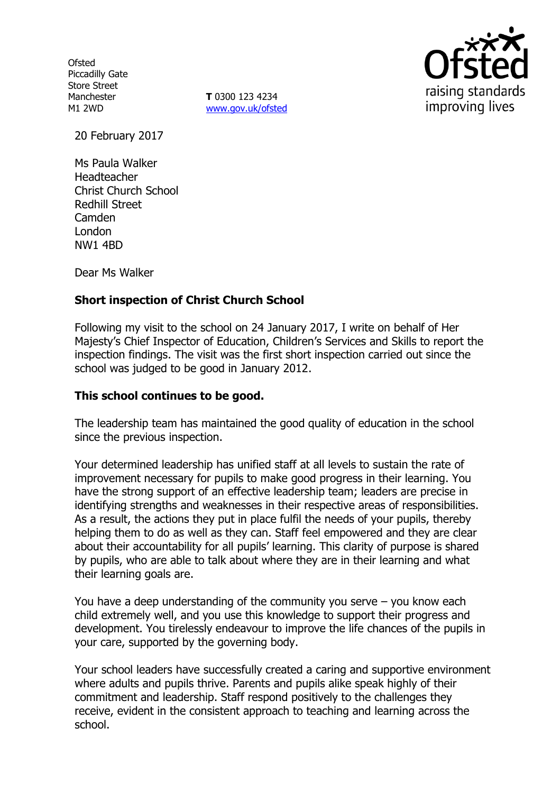**Ofsted** Piccadilly Gate Store Street Manchester M1 2WD

**T** 0300 123 4234 www.gov.uk/ofsted



20 February 2017

Ms Paula Walker Headteacher Christ Church School Redhill Street Camden London NW1 4BD

Dear Ms Walker

# **Short inspection of Christ Church School**

Following my visit to the school on 24 January 2017, I write on behalf of Her Majesty's Chief Inspector of Education, Children's Services and Skills to report the inspection findings. The visit was the first short inspection carried out since the school was judged to be good in January 2012.

#### **This school continues to be good.**

The leadership team has maintained the good quality of education in the school since the previous inspection.

Your determined leadership has unified staff at all levels to sustain the rate of improvement necessary for pupils to make good progress in their learning. You have the strong support of an effective leadership team; leaders are precise in identifying strengths and weaknesses in their respective areas of responsibilities. As a result, the actions they put in place fulfil the needs of your pupils, thereby helping them to do as well as they can. Staff feel empowered and they are clear about their accountability for all pupils' learning. This clarity of purpose is shared by pupils, who are able to talk about where they are in their learning and what their learning goals are.

You have a deep understanding of the community you serve – you know each child extremely well, and you use this knowledge to support their progress and development. You tirelessly endeavour to improve the life chances of the pupils in your care, supported by the governing body.

Your school leaders have successfully created a caring and supportive environment where adults and pupils thrive. Parents and pupils alike speak highly of their commitment and leadership. Staff respond positively to the challenges they receive, evident in the consistent approach to teaching and learning across the school.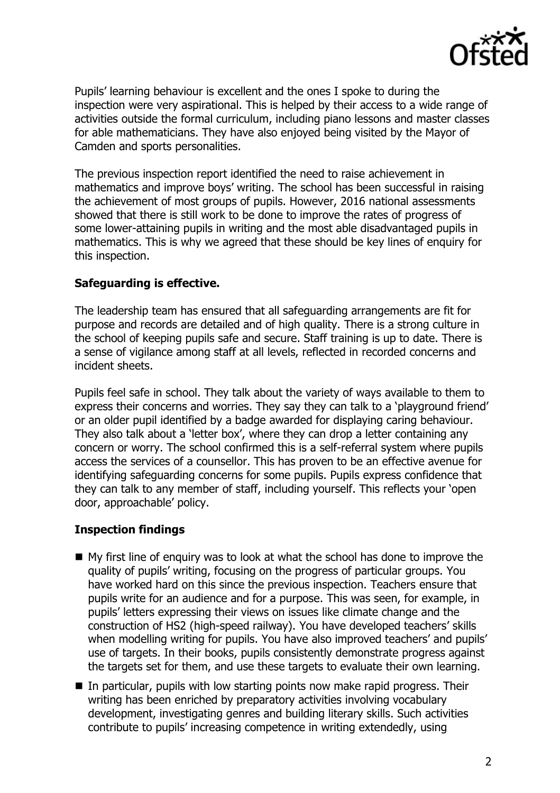

Pupils' learning behaviour is excellent and the ones I spoke to during the inspection were very aspirational. This is helped by their access to a wide range of activities outside the formal curriculum, including piano lessons and master classes for able mathematicians. They have also enjoyed being visited by the Mayor of Camden and sports personalities.

The previous inspection report identified the need to raise achievement in mathematics and improve boys' writing. The school has been successful in raising the achievement of most groups of pupils. However, 2016 national assessments showed that there is still work to be done to improve the rates of progress of some lower-attaining pupils in writing and the most able disadvantaged pupils in mathematics. This is why we agreed that these should be key lines of enquiry for this inspection.

### **Safeguarding is effective.**

The leadership team has ensured that all safeguarding arrangements are fit for purpose and records are detailed and of high quality. There is a strong culture in the school of keeping pupils safe and secure. Staff training is up to date. There is a sense of vigilance among staff at all levels, reflected in recorded concerns and incident sheets.

Pupils feel safe in school. They talk about the variety of ways available to them to express their concerns and worries. They say they can talk to a 'playground friend' or an older pupil identified by a badge awarded for displaying caring behaviour. They also talk about a 'letter box', where they can drop a letter containing any concern or worry. The school confirmed this is a self-referral system where pupils access the services of a counsellor. This has proven to be an effective avenue for identifying safeguarding concerns for some pupils. Pupils express confidence that they can talk to any member of staff, including yourself. This reflects your 'open door, approachable' policy.

### **Inspection findings**

- $\blacksquare$  My first line of enquiry was to look at what the school has done to improve the quality of pupils' writing, focusing on the progress of particular groups. You have worked hard on this since the previous inspection. Teachers ensure that pupils write for an audience and for a purpose. This was seen, for example, in pupils' letters expressing their views on issues like climate change and the construction of HS2 (high-speed railway). You have developed teachers' skills when modelling writing for pupils. You have also improved teachers' and pupils' use of targets. In their books, pupils consistently demonstrate progress against the targets set for them, and use these targets to evaluate their own learning.
- In particular, pupils with low starting points now make rapid progress. Their writing has been enriched by preparatory activities involving vocabulary development, investigating genres and building literary skills. Such activities contribute to pupils' increasing competence in writing extendedly, using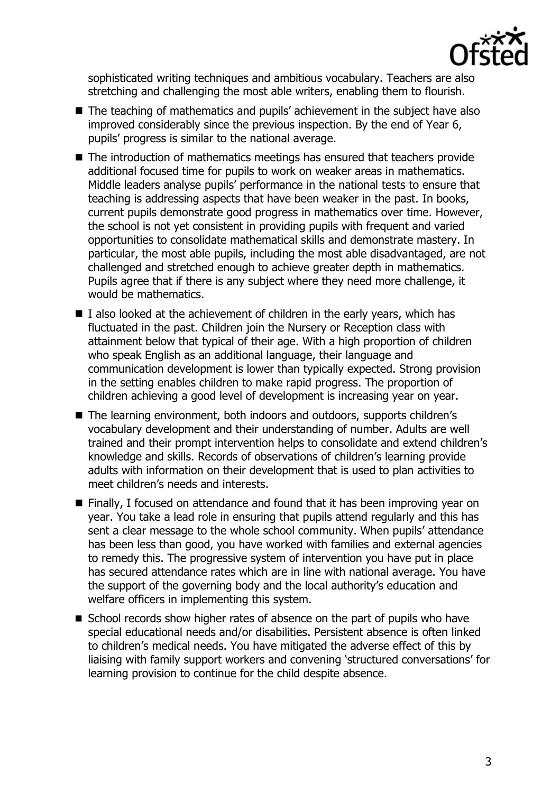

sophisticated writing techniques and ambitious vocabulary. Teachers are also stretching and challenging the most able writers, enabling them to flourish.

- The teaching of mathematics and pupils' achievement in the subject have also improved considerably since the previous inspection. By the end of Year 6, pupils' progress is similar to the national average.
- The introduction of mathematics meetings has ensured that teachers provide additional focused time for pupils to work on weaker areas in mathematics. Middle leaders analyse pupils' performance in the national tests to ensure that teaching is addressing aspects that have been weaker in the past. In books, current pupils demonstrate good progress in mathematics over time. However, the school is not yet consistent in providing pupils with frequent and varied opportunities to consolidate mathematical skills and demonstrate mastery. In particular, the most able pupils, including the most able disadvantaged, are not challenged and stretched enough to achieve greater depth in mathematics. Pupils agree that if there is any subject where they need more challenge, it would be mathematics.
- $\blacksquare$  I also looked at the achievement of children in the early years, which has fluctuated in the past. Children join the Nursery or Reception class with attainment below that typical of their age. With a high proportion of children who speak English as an additional language, their language and communication development is lower than typically expected. Strong provision in the setting enables children to make rapid progress. The proportion of children achieving a good level of development is increasing year on year.
- The learning environment, both indoors and outdoors, supports children's vocabulary development and their understanding of number. Adults are well trained and their prompt intervention helps to consolidate and extend children's knowledge and skills. Records of observations of children's learning provide adults with information on their development that is used to plan activities to meet children's needs and interests.
- Finally, I focused on attendance and found that it has been improving year on year. You take a lead role in ensuring that pupils attend regularly and this has sent a clear message to the whole school community. When pupils' attendance has been less than good, you have worked with families and external agencies to remedy this. The progressive system of intervention you have put in place has secured attendance rates which are in line with national average. You have the support of the governing body and the local authority's education and welfare officers in implementing this system.
- School records show higher rates of absence on the part of pupils who have special educational needs and/or disabilities. Persistent absence is often linked to children's medical needs. You have mitigated the adverse effect of this by liaising with family support workers and convening 'structured conversations' for learning provision to continue for the child despite absence.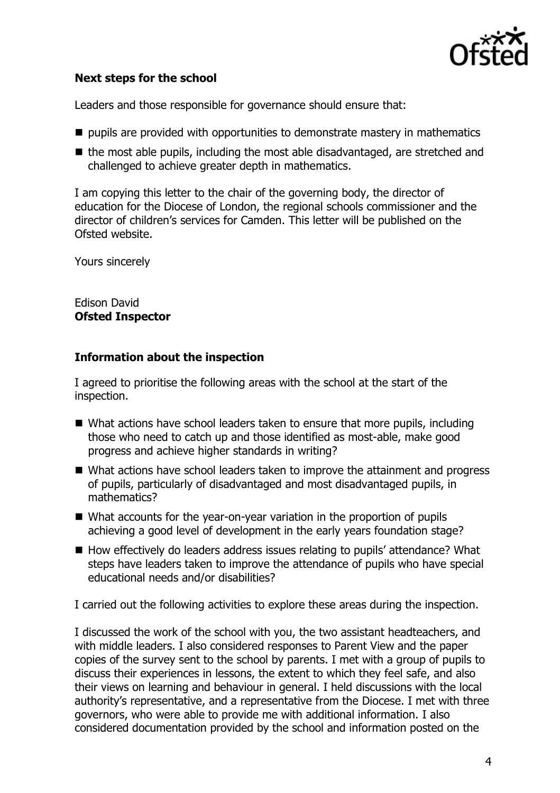

# **Next steps for the school**

Leaders and those responsible for governance should ensure that:

- $\blacksquare$  pupils are provided with opportunities to demonstrate mastery in mathematics
- $\blacksquare$  the most able pupils, including the most able disadvantaged, are stretched and challenged to achieve greater depth in mathematics.

I am copying this letter to the chair of the governing body, the director of education for the Diocese of London, the regional schools commissioner and the director of children's services for Camden. This letter will be published on the Ofsted website.

Yours sincerely

#### Edison David **Ofsted Inspector**

### **Information about the inspection**

I agreed to prioritise the following areas with the school at the start of the inspection.

- What actions have school leaders taken to ensure that more pupils, including those who need to catch up and those identified as most-able, make good progress and achieve higher standards in writing?
- What actions have school leaders taken to improve the attainment and progress of pupils, particularly of disadvantaged and most disadvantaged pupils, in mathematics?
- What accounts for the year-on-year variation in the proportion of pupils achieving a good level of development in the early years foundation stage?
- How effectively do leaders address issues relating to pupils' attendance? What steps have leaders taken to improve the attendance of pupils who have special educational needs and/or disabilities?

I carried out the following activities to explore these areas during the inspection.

I discussed the work of the school with you, the two assistant headteachers, and with middle leaders. I also considered responses to Parent View and the paper copies of the survey sent to the school by parents. I met with a group of pupils to discuss their experiences in lessons, the extent to which they feel safe, and also their views on learning and behaviour in general. I held discussions with the local authority's representative, and a representative from the Diocese. I met with three governors, who were able to provide me with additional information. I also considered documentation provided by the school and information posted on the